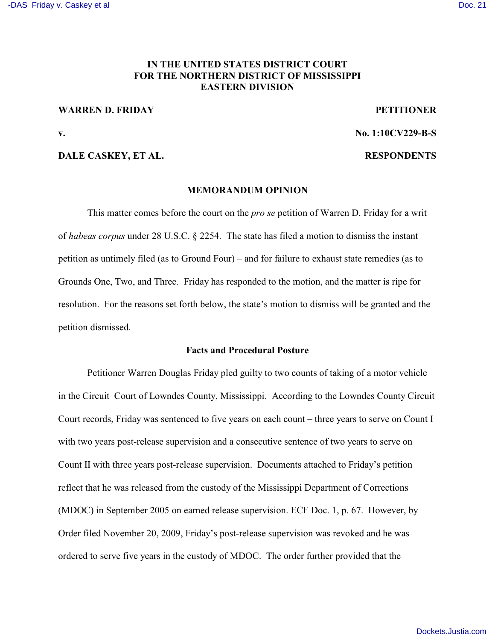## **IN THE UNITED STATES DISTRICT COURT FOR THE NORTHERN DISTRICT OF MISSISSIPPI EASTERN DIVISION**

#### **WARREN D. FRIDAY PETITIONER**

**v. No. 1:10CV229-B-S**

### **DALE CASKEY, ET AL. RESPONDENTS**

#### **MEMORANDUM OPINION**

This matter comes before the court on the *pro se* petition of Warren D. Friday for a writ of *habeas corpus* under 28 U.S.C. § 2254. The state has filed a motion to dismiss the instant petition as untimely filed (as to Ground Four) – and for failure to exhaust state remedies (as to Grounds One, Two, and Three. Friday has responded to the motion, and the matter is ripe for resolution. For the reasons set forth below, the state's motion to dismiss will be granted and the petition dismissed.

#### **Facts and Procedural Posture**

Petitioner Warren Douglas Friday pled guilty to two counts of taking of a motor vehicle in the Circuit Court of Lowndes County, Mississippi. According to the Lowndes County Circuit Court records, Friday was sentenced to five years on each count – three years to serve on Count I with two years post-release supervision and a consecutive sentence of two years to serve on Count II with three years post-release supervision. Documents attached to Friday's petition reflect that he was released from the custody of the Mississippi Department of Corrections (MDOC) in September 2005 on earned release supervision. ECF Doc. 1, p. 67. However, by Order filed November 20, 2009, Friday's post-release supervision was revoked and he was ordered to serve five years in the custody of MDOC. The order further provided that the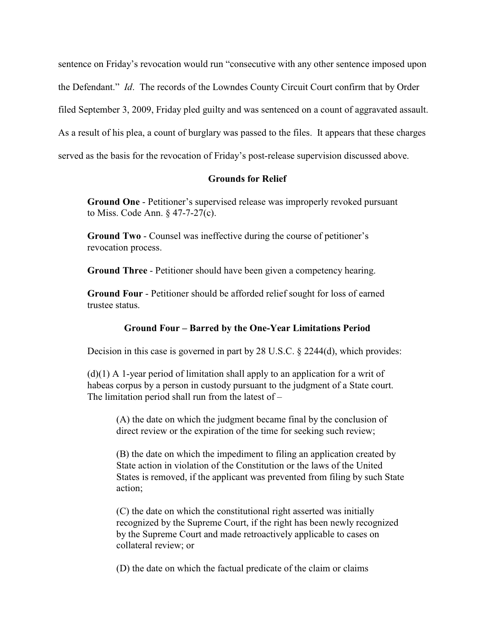sentence on Friday's revocation would run "consecutive with any other sentence imposed upon the Defendant." *Id*. The records of the Lowndes County Circuit Court confirm that by Order filed September 3, 2009, Friday pled guilty and was sentenced on a count of aggravated assault. As a result of his plea, a count of burglary was passed to the files. It appears that these charges served as the basis for the revocation of Friday's post-release supervision discussed above.

## **Grounds for Relief**

**Ground One** - Petitioner's supervised release was improperly revoked pursuant to Miss. Code Ann. § 47-7-27(c).

**Ground Two** - Counsel was ineffective during the course of petitioner's revocation process.

**Ground Three** - Petitioner should have been given a competency hearing.

**Ground Four** - Petitioner should be afforded relief sought for loss of earned trustee status.

# **Ground Four – Barred by the One-Year Limitations Period**

Decision in this case is governed in part by 28 U.S.C. § 2244(d), which provides:

 $(d)(1)$  A 1-year period of limitation shall apply to an application for a writ of habeas corpus by a person in custody pursuant to the judgment of a State court. The limitation period shall run from the latest of  $-$ 

(A) the date on which the judgment became final by the conclusion of direct review or the expiration of the time for seeking such review;

(B) the date on which the impediment to filing an application created by State action in violation of the Constitution or the laws of the United States is removed, if the applicant was prevented from filing by such State action;

(C) the date on which the constitutional right asserted was initially recognized by the Supreme Court, if the right has been newly recognized by the Supreme Court and made retroactively applicable to cases on collateral review; or

(D) the date on which the factual predicate of the claim or claims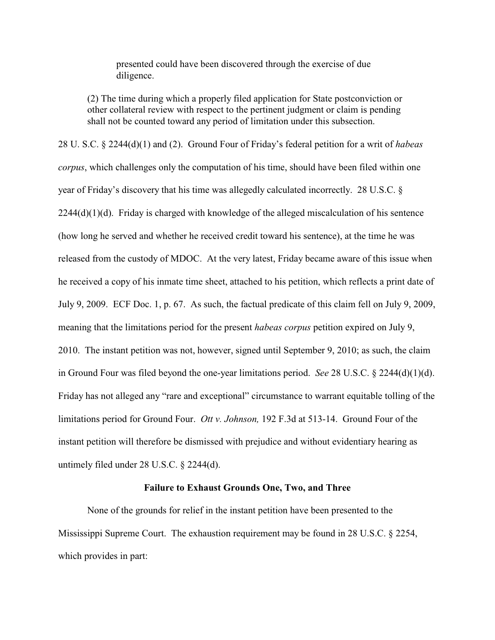presented could have been discovered through the exercise of due diligence.

(2) The time during which a properly filed application for State postconviction or other collateral review with respect to the pertinent judgment or claim is pending shall not be counted toward any period of limitation under this subsection.

28 U. S.C. § 2244(d)(1) and (2). Ground Four of Friday's federal petition for a writ of *habeas corpus*, which challenges only the computation of his time, should have been filed within one year of Friday's discovery that his time was allegedly calculated incorrectly. 28 U.S.C. §  $2244(d)(1)(d)$ . Friday is charged with knowledge of the alleged miscalculation of his sentence (how long he served and whether he received credit toward his sentence), at the time he was released from the custody of MDOC. At the very latest, Friday became aware of this issue when he received a copy of his inmate time sheet, attached to his petition, which reflects a print date of July 9, 2009. ECF Doc. 1, p. 67. As such, the factual predicate of this claim fell on July 9, 2009, meaning that the limitations period for the present *habeas corpus* petition expired on July 9, 2010. The instant petition was not, however, signed until September 9, 2010; as such, the claim in Ground Four was filed beyond the one-year limitations period. *See* 28 U.S.C. § 2244(d)(1)(d). Friday has not alleged any "rare and exceptional" circumstance to warrant equitable tolling of the limitations period for Ground Four. *Ott v. Johnson,* 192 F.3d at 513-14. Ground Four of the instant petition will therefore be dismissed with prejudice and without evidentiary hearing as untimely filed under 28 U.S.C. § 2244(d).

#### **Failure to Exhaust Grounds One, Two, and Three**

None of the grounds for relief in the instant petition have been presented to the Mississippi Supreme Court. The exhaustion requirement may be found in 28 U.S.C. § 2254, which provides in part: